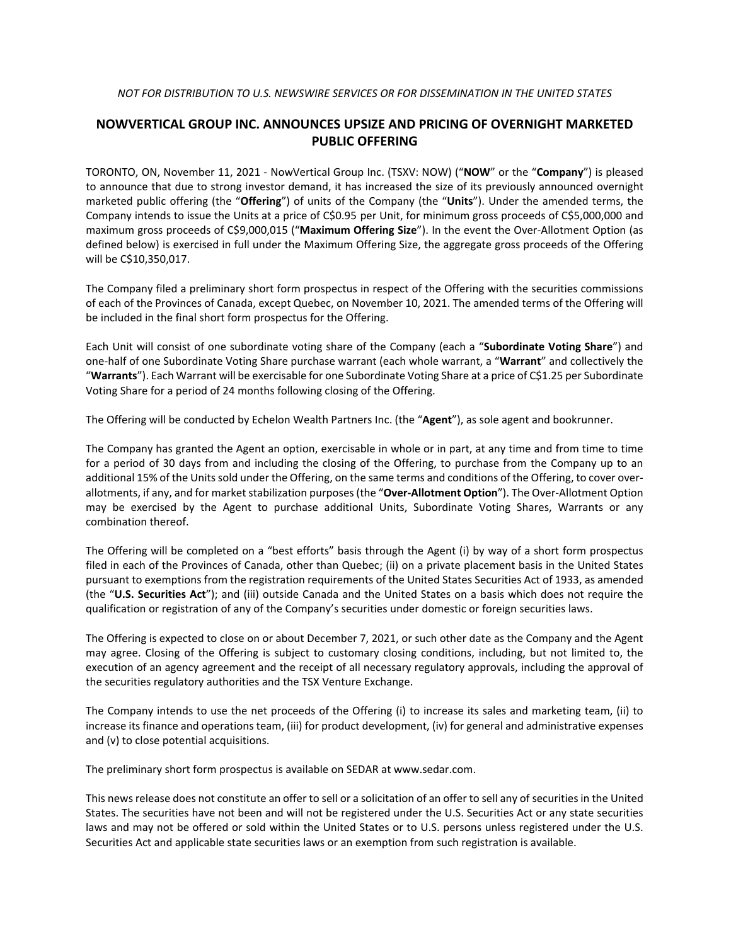## **NOWVERTICAL GROUP INC. ANNOUNCES UPSIZE AND PRICING OF OVERNIGHT MARKETED PUBLIC OFFERING**

TORONTO, ON, November 11, 2021 - NowVertical Group Inc. (TSXV: NOW) ("**NOW**" or the "**Company**") is pleased to announce that due to strong investor demand, it has increased the size of its previously announced overnight marketed public offering (the "**Offering**") of units of the Company (the "**Units**"). Under the amended terms, the Company intends to issue the Units at a price of C\$0.95 per Unit, for minimum gross proceeds of C\$5,000,000 and maximum gross proceeds of C\$9,000,015 ("**Maximum Offering Size**"). In the event the Over-Allotment Option (as defined below) is exercised in full under the Maximum Offering Size, the aggregate gross proceeds of the Offering will be C\$10,350,017.

The Company filed a preliminary short form prospectus in respect of the Offering with the securities commissions of each of the Provinces of Canada, except Quebec, on November 10, 2021. The amended terms of the Offering will be included in the final short form prospectus for the Offering.

Each Unit will consist of one subordinate voting share of the Company (each a "**Subordinate Voting Share**") and one-half of one Subordinate Voting Share purchase warrant (each whole warrant, a "**Warrant**" and collectively the "**Warrants**"). Each Warrant will be exercisable for one Subordinate Voting Share at a price of C\$1.25 per Subordinate Voting Share for a period of 24 months following closing of the Offering.

The Offering will be conducted by Echelon Wealth Partners Inc. (the "**Agent**"), as sole agent and bookrunner.

The Company has granted the Agent an option, exercisable in whole or in part, at any time and from time to time for a period of 30 days from and including the closing of the Offering, to purchase from the Company up to an additional 15% of the Units sold under the Offering, on the same terms and conditions of the Offering, to cover overallotments, if any, and for market stabilization purposes (the "**Over-Allotment Option**"). The Over-Allotment Option may be exercised by the Agent to purchase additional Units, Subordinate Voting Shares, Warrants or any combination thereof.

The Offering will be completed on a "best efforts" basis through the Agent (i) by way of a short form prospectus filed in each of the Provinces of Canada, other than Quebec; (ii) on a private placement basis in the United States pursuant to exemptions from the registration requirements of the United States Securities Act of 1933, as amended (the "**U.S. Securities Act**"); and (iii) outside Canada and the United States on a basis which does not require the qualification or registration of any of the Company's securities under domestic or foreign securities laws.

The Offering is expected to close on or about December 7, 2021, or such other date as the Company and the Agent may agree. Closing of the Offering is subject to customary closing conditions, including, but not limited to, the execution of an agency agreement and the receipt of all necessary regulatory approvals, including the approval of the securities regulatory authorities and the TSX Venture Exchange.

The Company intends to use the net proceeds of the Offering (i) to increase its sales and marketing team, (ii) to increase its finance and operations team, (iii) for product development, (iv) for general and administrative expenses and (v) to close potential acquisitions.

The preliminary short form prospectus is available on SEDAR at www.sedar.com.

This news release does not constitute an offer to sell or a solicitation of an offer to sell any of securities in the United States. The securities have not been and will not be registered under the U.S. Securities Act or any state securities laws and may not be offered or sold within the United States or to U.S. persons unless registered under the U.S. Securities Act and applicable state securities laws or an exemption from such registration is available.